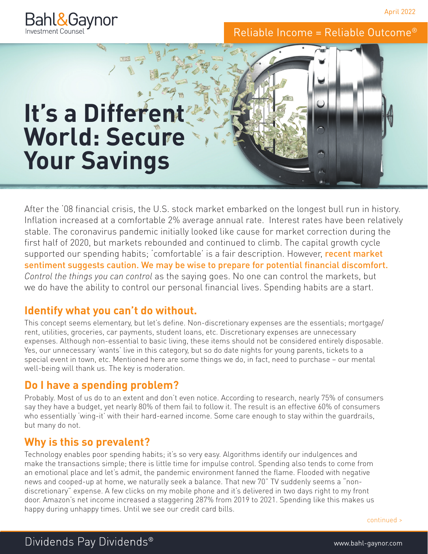April 2022



Reliable Income = Reliable Outcome®

# **It's a Different World: Secure Your Savings**

After the '08 financial crisis, the U.S. stock market embarked on the longest bull run in history. Inflation increased at a comfortable 2% average annual rate. Interest rates have been relatively stable. The coronavirus pandemic initially looked like cause for market correction during the first half of 2020, but markets rebounded and continued to climb. The capital growth cycle supported our spending habits; 'comfortable' is a fair description. However, recent market sentiment suggests caution. We may be wise to prepare for potential financial discomfort. *Control the things you can control* as the saying goes. No one can control the markets, but we do have the ability to control our personal financial lives. Spending habits are a start.

## **Identify what you can't do without.**

This concept seems elementary, but let's define. Non-discretionary expenses are the essentials; mortgage/ rent, utilities, groceries, car payments, student loans, etc. Discretionary expenses are unnecessary expenses. Although non-essential to basic living, these items should not be considered entirely disposable. Yes, our unnecessary 'wants' live in this category, but so do date nights for young parents, tickets to a special event in town, etc. Mentioned here are some things we do, in fact, need to purchase – our mental well-being will thank us. The key is moderation.

## **Do I have a spending problem?**

Probably. Most of us do to an extent and don't even notice. According to research, nearly 75% of consumers say they have a budget, yet nearly 80% of them fail to follow it. The result is an effective 60% of consumers who essentially 'wing-it' with their hard-earned income. Some care enough to stay within the guardrails, but many do not.

## **Why is this so prevalent?**

Technology enables poor spending habits; it's so very easy. Algorithms identify our indulgences and make the transactions simple; there is little time for impulse control. Spending also tends to come from an emotional place and let's admit, the pandemic environment fanned the flame. Flooded with negative news and cooped-up at home, we naturally seek a balance. That new 70" TV suddenly seems a "nondiscretionary" expense. A few clicks on my mobile phone and it's delivered in two days right to my front door. Amazon's net income increased a staggering 287% from 2019 to 2021. Spending like this makes us happy during unhappy times. Until we see our credit card bills.

continued >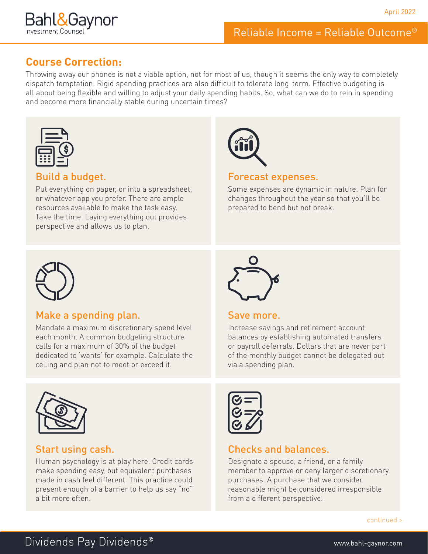

# Reliable Income = Reliable Outcome®

### **Course Correction:**

Throwing away our phones is not a viable option, not for most of us, though it seems the only way to completely dispatch temptation. Rigid spending practices are also difficult to tolerate long-term. Effective budgeting is all about being flexible and willing to adjust your daily spending habits. So, what can we do to rein in spending and become more financially stable during uncertain times?



#### Build a budget.

Put everything on paper, or into a spreadsheet, or whatever app you prefer. There are ample resources available to make the task easy. Take the time. Laying everything out provides perspective and allows us to plan.



#### Forecast expenses.

Some expenses are dynamic in nature. Plan for changes throughout the year so that you'll be prepared to bend but not break.



#### Make a spending plan.

Mandate a maximum discretionary spend level each month. A common budgeting structure calls for a maximum of 30% of the budget dedicated to 'wants' for example. Calculate the ceiling and plan not to meet or exceed it.



#### Start using cash.

Human psychology is at play here. Credit cards make spending easy, but equivalent purchases made in cash feel different. This practice could present enough of a barrier to help us say "no" a bit more often.



#### Save more.

Increase savings and retirement account balances by establishing automated transfers or payroll deferrals. Dollars that are never part of the monthly budget cannot be delegated out via a spending plan.



## Checks and balances.

Designate a spouse, a friend, or a family member to approve or deny larger discretionary purchases. A purchase that we consider reasonable might be considered irresponsible from a different perspective.

continued >

# Dividends Pay Dividends®